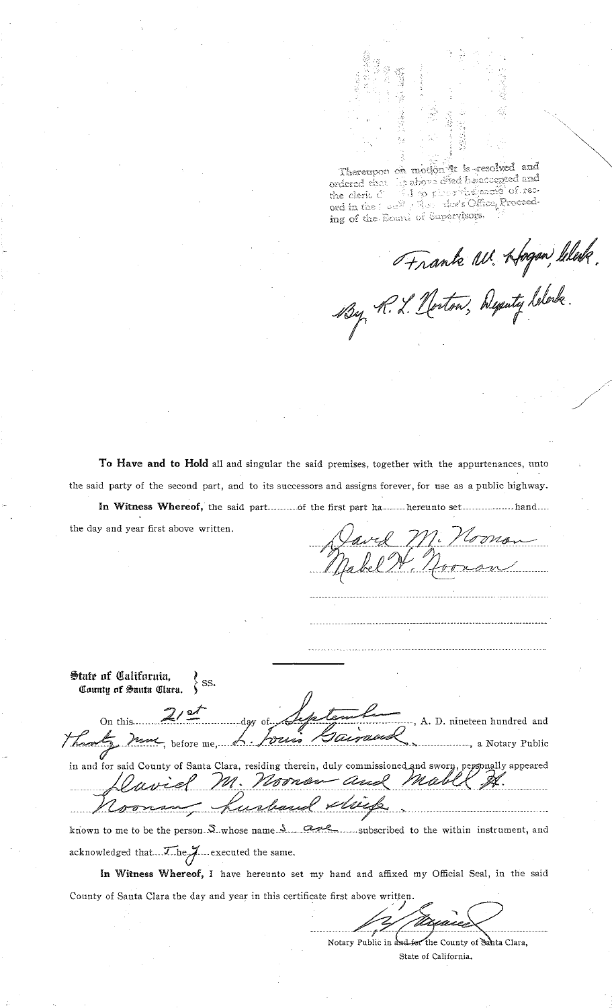Thereupon on motion it is resolved and the above offed belaccepted and ordered that the clerk C ord in the Tour 7 Red dor's Office, Proceeding of the Board of Supervisors.

Frank W. Hogen Wesley.

To Have and to Hold all and singular the said premises, together with the appurtenances, unto the said party of the second part, and to its successors and assigns forever, for use as a public highway.

In Witness Whereof, the said part..........of the first part ha ....... hereunto set.................. hand.... the day and year first above written.

State of California,  $\rangle$  ss. County of Santa Clara. On this A. D. nineteen hundred and bourn .......... a Notary Public

in and for said County of Santa Clara, residing therein, duly commissioned and sworn, perspnally appeared M. Noones - and musil puch

known to me to be the person. S. whose name. S.  $\sigma$ -......subscribed to the within instrument, and acknowledged that The June xecuted the same.

In Witness Whereof, I have hereunto set my hand and affixed my Official Seal, in the said County of Santa Clara the day and year in this certificate first above written.

> Notary Public in and for the County of Santa Clara, State of California.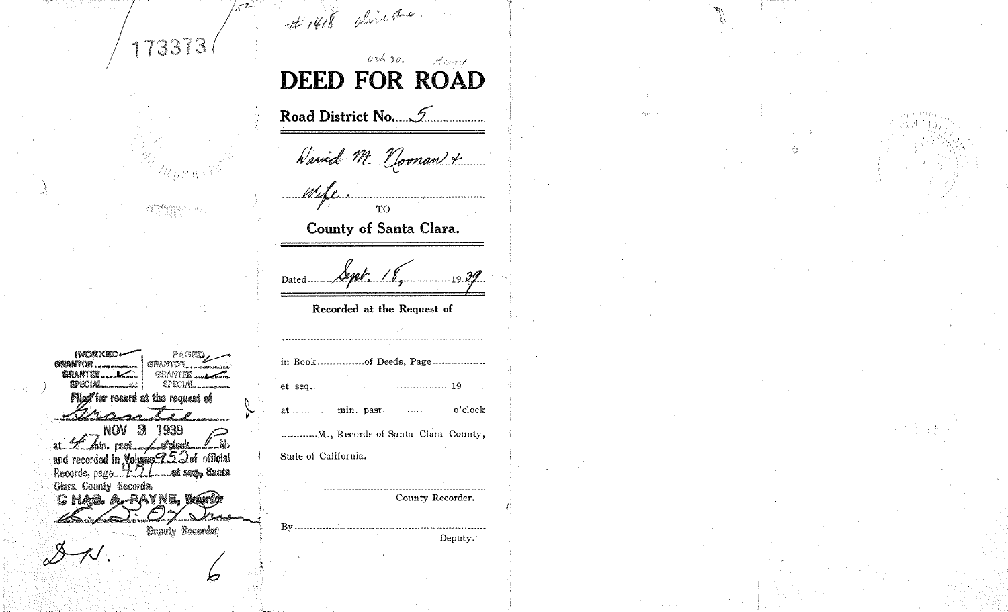# 1418 directors. ہے۔' 173373  $0.2630$ P. Georg **DEED FOR ROAD** Road District No. 5 Waried M. Noonan + Wife. ΥO County of Santa Clara. Dated....... Recorded at the Request of INDEXED どんの医師 **GRANTON.** GRANTOR... GRANTEE .... GRANTEE .... **SPECIAL** SPECIAL. ana dhek Flied for resord at the request of **NOV 3 1939** ............. M., Records of Santa Clara County, at  $Z$  on  $\alpha$ and recorded in Volume 252of official State of California. Clara County Records. Chag. A-RAYNE, Box County Recorder. **Deputy Records:** Deputy. Ø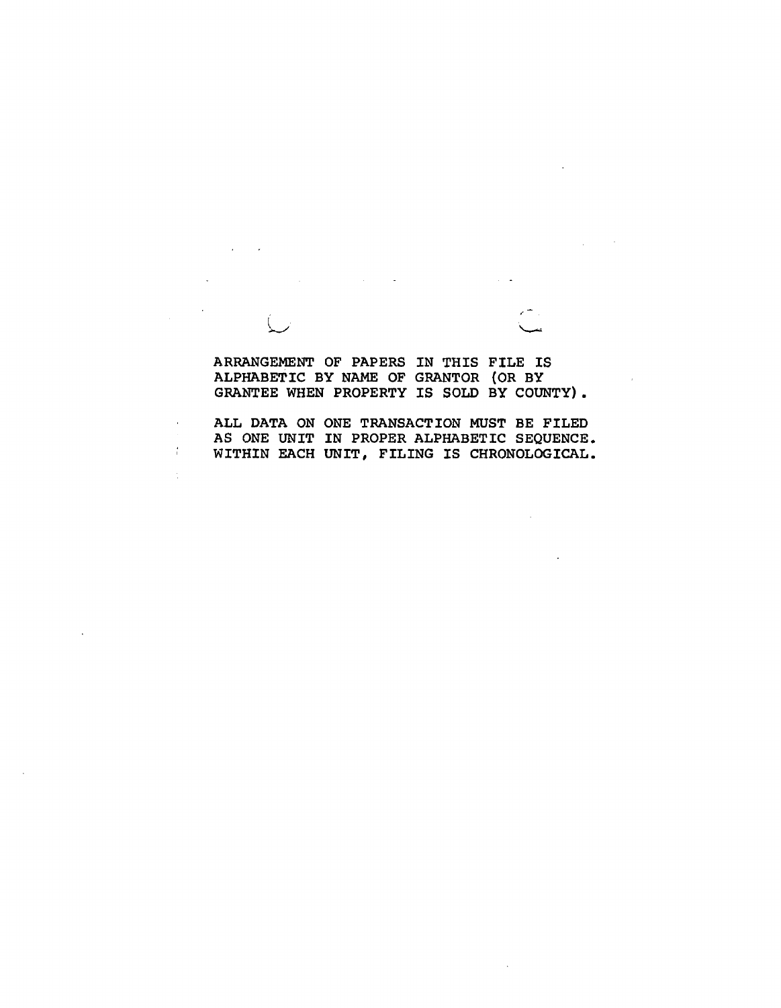**ARRANGEMENT OF PAPERS IN THIS FILE IS ALPHABETIC BY NAME OF GRANTOR (OR BY GRANTEE WHEN PROPERTY IS SOLD BY COUNTY).** 

 $\zeta$ 

 $\overline{\phantom{a}}$ 

 $\frac{1}{2}$ 

**ALL DATA ON ONE TRANSACTION MUST BE FILED**  AS ONE UNIT IN PROPER ALPHABETIC SEQUENCE. **WITHIN EACH UNIT, FILING IS CHRONOLOGICAL.**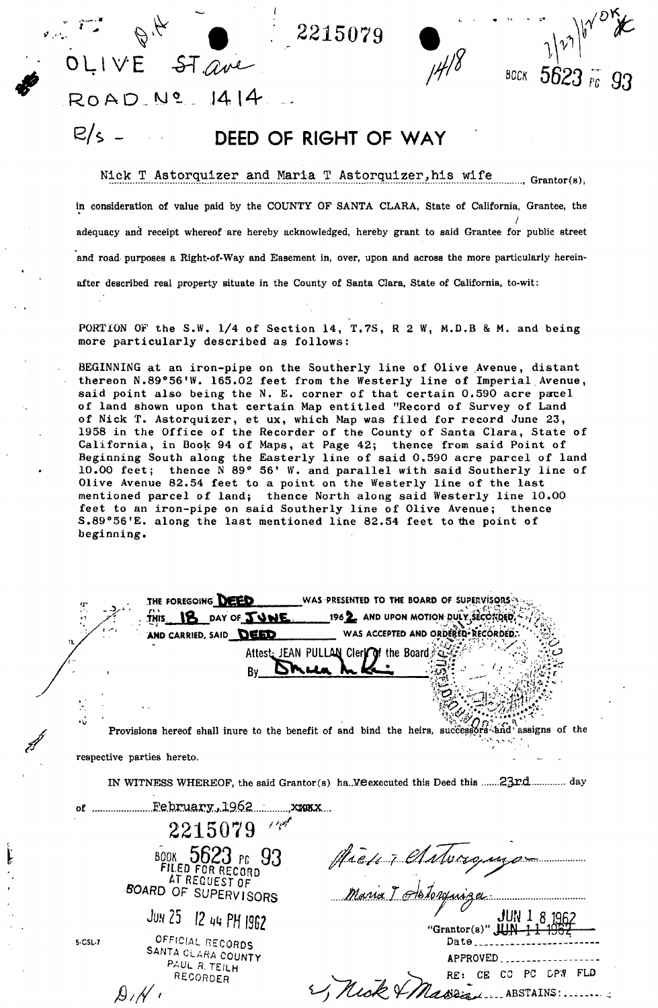**: ^ ft : . 2215079 % \*** 

*^ 5623 r PC* 

OLIVE ST<u>ave</u> **RoAD .yV . 14 14 ....** 

*A// '* 

# **E/S \_ DEED OF RIGHT OF WAY**

Nick T Astorquizer and Maria T Astorquizer,his wife ^ **Grantor(s),** 

**in consideration of value paid by the COUNTY OF SANTA CLARA, State of California, Grantee, the**  / **adequacy and receipt whereof are hereby acknowledged, hereby grant to said Grantee for public street and road purposes a Right-of-Way and Easement in, over, upon and across the more particularly hereinafter described real property situate in the County of Santa Clara, State of California, to-wit:** 

PORTION OF the S.W. 1/4 of Section 14, T.7S, R 2 W, M.D.B & M. and being more particularly described as follows:

BEGINNING at an iron-pipe on the Southerly line of Olive Avenue, distant thereon N.89°56'W. 165.02 feet from the Westerly line of Imperial Avenue, said point also being the N. E. corner of that certain 0,590 acre parcel of land shown upon that certain Map entitled "Record of Survey of Land of Nick T. Astorquizer, et ux, which Map was filed for record June 23, 1958 in the Office of the Recorder of the County of Santa Clara, State of California, in Book 94 of Maps, at Page 42; thence from said Point of Beginning South along the Easterly line of said 0.590 acre parcel of land 10.00 feet; thence N 89° 56' W. and parallel with said Southerly line of Olive Avenue 82.54 feet to a point on the Westerly line of the last mentioned parcel of land; thence North along said Westerly line 10.00 feet to an iron-pipe on said Southerly line of Olive Avenue; thence S.89°56'E. along the last mentioned line 82.54 feet to the point of beginning.

THE FOREGOING DEED WAS PRESENTED TO THE BOARD OF SUPERVISORS .. **THIS DAY OF <b>TOWE** 196<sup>2</sup> AND UPON MOTION DULY.SECORDED. WAS ACCEPTED AND ORDERED<sup>+</sup> RECORDED. AND CARRIED, SAID DEED Attest: JEAN PULLAN Cler**e of** the Board  $Bv$  DM  $A$ Provisions hereof shall inure to the benefit of and bind the heirs, successors and assigns of the ' «• . : **respective parties hereto. IN WITNESS WHEREOF, the said Grantor(s) ha..V.eexecuted this Deed this 23r.d day**   $2215079$ <sup>20</sup> **book 5623** PC **93**  Hierry Clatoromyo **AT REQUEST OF** *BOARD***<sup>O</sup> F SUPERVISOR <sup>S</sup>** Maria I Hotorquiza **J**ON **25** *12 nn Pfj I9B2*  JUN 1 8 196 **"Grantor(s)"** JUN 1 1 1967 *OFFICIAL* **RECORDS 5-CSL-7**  Date<sub>cont</sub> **SANTA CLARA COUNTY**  APPROVED. Paul r. te/lh RE: CE CO PC DPW FLD Recorder 1, Mick & Massachus ABSTAINS:.......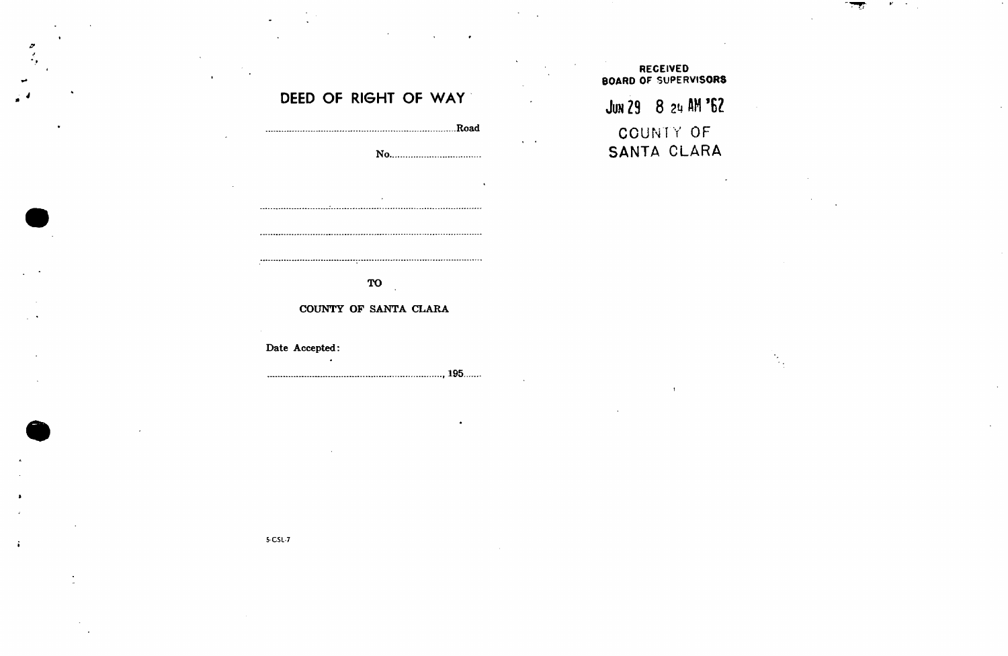## **RECEIVED BOARD OF SUPERVISORS**

# JUN 29 8 24 AM '62 COUNTY OF SANTA CLARA

### **DEED OF RIGHT OF WAY**

**.Road No**  

### **TO**

### **COUNTY OF SANTA CLARA**

### **Date Accepted:**

, 195

5-C5L-7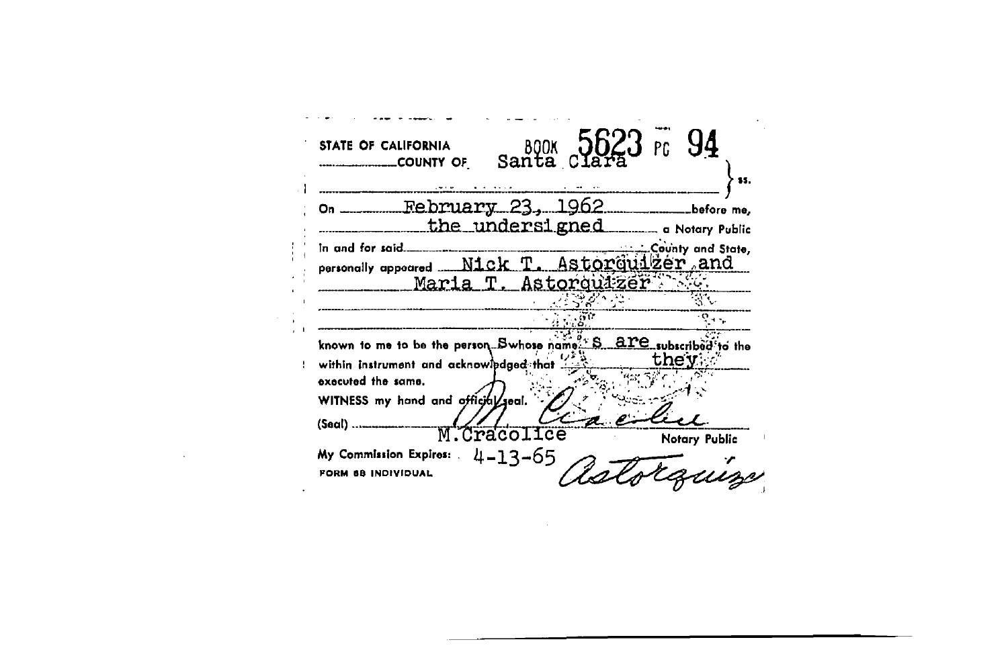94 **BOOK**<br>Santa STATE OF CALIFORNIA COUNTY OF \$5. محامي  $\mathbf{v}$  , and  $\mathbf{v}$  , and  $\mathbf{v}$ 1962 February -23. before me, On the undersigned a Notary Public County and State, In and for said... Astorquizer and Nick personally appeared Maria Astorquizer 35C 결정장  $\frac{1}{41}$  ,  $\frac{1}{10}$  ,  $\frac{1}{10}$  $\ddot{\circ}$ are subscribed to the known to me to be the person... Swhose name... they within instrument and acknowledged that executed the same. WITNESS my hand and official seal.  $(Saal)$  .... M.Cracolice Notary Public  $4 - 13 - 65$ My Commission Expires: FORM 68 INDIVIDUAL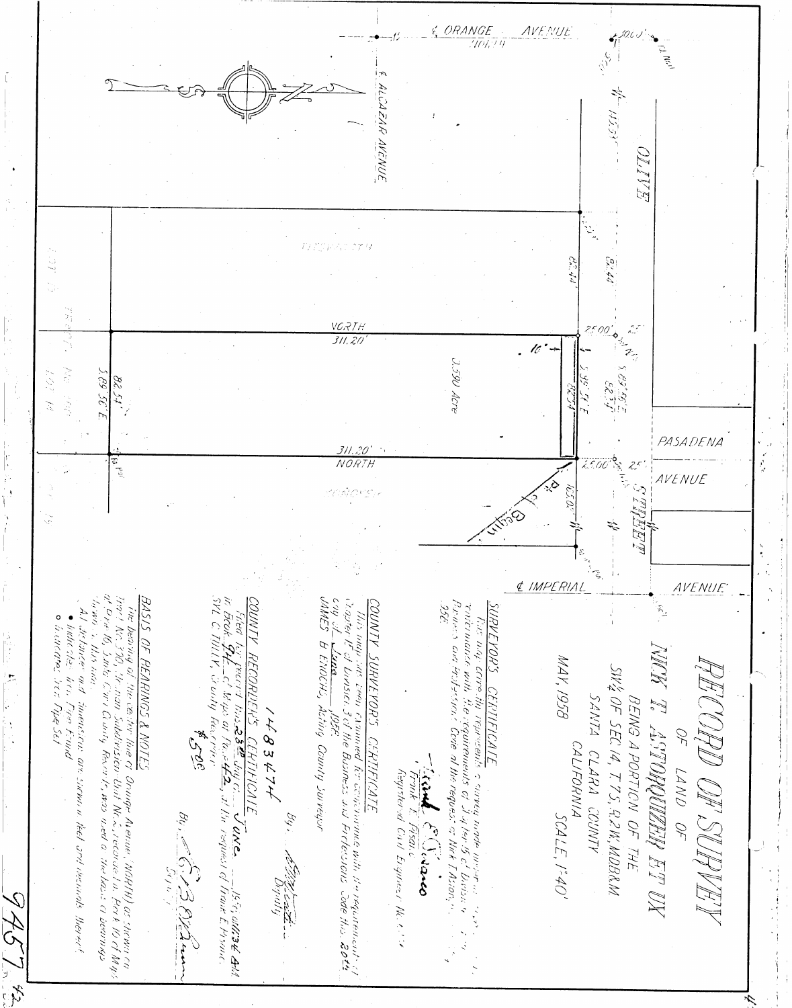$\frac{1}{2}$ LCAZAR AVENUE OL TV VCRTH ۰ó  $311.20$ 医毛毛 ).590 Acre  $25.583$  $\frac{1}{2}$ 82 S.L PASADENA <u>311.20'</u><br>NORTH te Pai *AVENUE* E IMPERIAL AVENUE Setting **CATCINIANCE** OUNTY י יוויטונט KHC 242 バンバン MAY, 1958 S.UOK.FANNS BENNG A PORTICN OF THE<br>SW4 OF SEC 14, T.7S, .A.2W, MDBRM. UNISICI  $\sqrt{\hbar}/\hbar$ CINFS inienssous are survivi in teet and deanials thereof  $\mathcal{M}_{\mathbf{c}}$  .  $R$   $\nrightarrow$  $\delta$ JEI  $\mathcal{L}$ 595 ATE<br>Bents o cavey made mesor en el encontrona<br>inements of Jupen for the Envise of the contents of the request of the Environ, and the content <u>MTES</u><br>Inie cr. Orwige Arenue (MGRTH) as shown on<br>Pission-Unit Nr. L. recorde I'n. Pork IO of Mys<br>y Feror Le, was wed a: The hase of bearmas  $\frac{\frac{\mathcal{L}}{\mathcal{L}}\mathcal{L}}{\mathcal{L}}\frac{\mathcal{L}}{\mathcal{L}}\frac{\mathcal{L}}{\mathcal{L}}\frac{\mathcal{L}}{\mathcal{L}}\frac{\mathcal{L}}{\mathcal{L}}\frac{\mathcal{L}}{\mathcal{L}}\frac{\mathcal{L}}{\mathcal{L}}\frac{\mathcal{L}}{\mathcal{L}}\frac{\mathcal{L}}{\mathcal{L}}\frac{\mathcal{L}}{\mathcal{L}}\frac{\mathcal{L}}{\mathcal{L}}\frac{\mathcal{L}}{\mathcal{L}}\frac{\mathcal{L}}{\mathcal{L}}\frac{\mathcal{L}}{\mathcal{L}}\frac{\mathcal{L}}{\math$ ARACHES REI  $3424$ County Surreyor וויכל ג'די כביוזרוויוויווויופ מוז'וו וז' יי ויכרווורוויוויוויזר בר<br>וויכל ג'די כביוזרוויוויווויפ מוז'וו וז' יי ויכרווורוויביוור בר ATIFICATE ind.  $J/\rho \rho_{\rm e} I$ CALIFORNIA NA IS ARTENDADO ES CLARA COUNTY Front E Pisais LAND OF Registered Call Ergineer No. 6.14 SCALE, 1:40' By : Le C. P. B. Channel 995. LEEE LEEE -AAST E  $\frac{1}{\sqrt{2}}$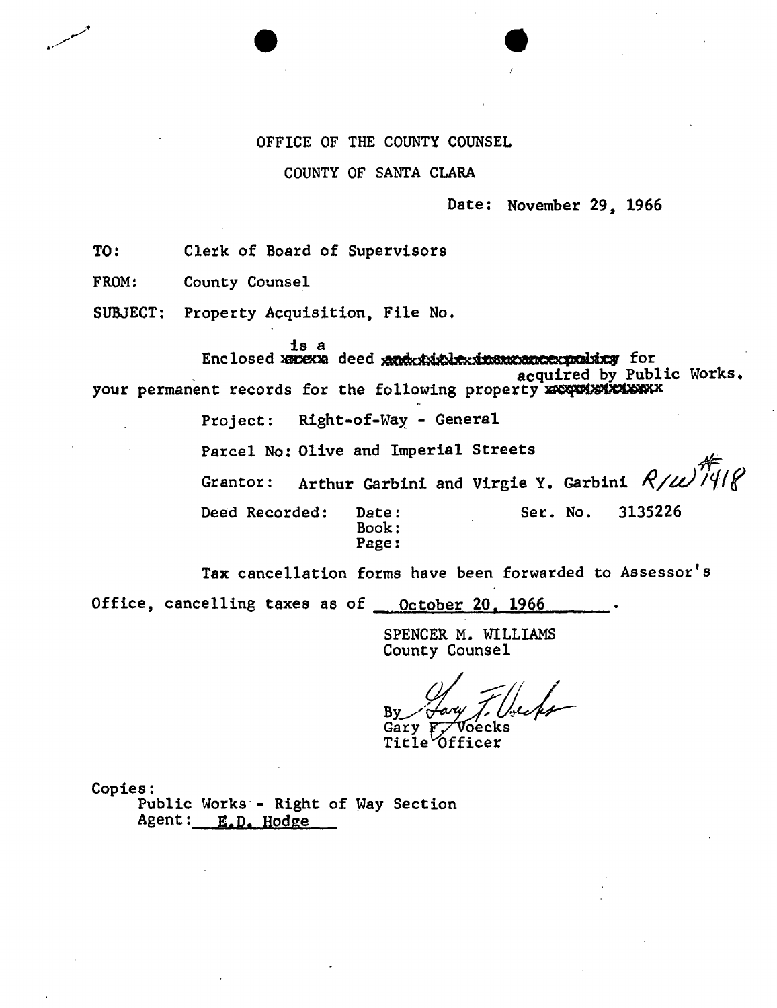### OFFICE OF THE COUNTY COUNSEL

### COUNTY OF SANTA CLARA

### Date: November 29, 1966

TO: Clerk of Board of Supervisors

FROM: County Counsel

SUBJECT: Property Acquisition, File No.

is a

Enclosed xacexa deed grand the atas and another for acquired by Public Works, your permanent records for the following property xxxxxxxxxxxxx

Project: Right-of-Way - General

Parcel No: Olive and Imperial Streets

Grantor: Arthur Garbini and Virgie Y. Garbini  $R/\ell\ell\ell\sqrt{\frac{N}{N}}$ 

Ser. No. 3135226

Deed Recorded: Date: Book: Page:

Tax cancellation forms have been forwarded to Assessor's

Office, cancelling taxes as of <u>October 20, 1966</u>

SPENCER M. WILLIAMS County Counsel

 $\frac{By}{\sim}$ 

Gary F<del>y</del> Voecks Title<sup>0</sup>fficer

Copies:

Public Works - Right of Way Section Agent: E.D. Hodge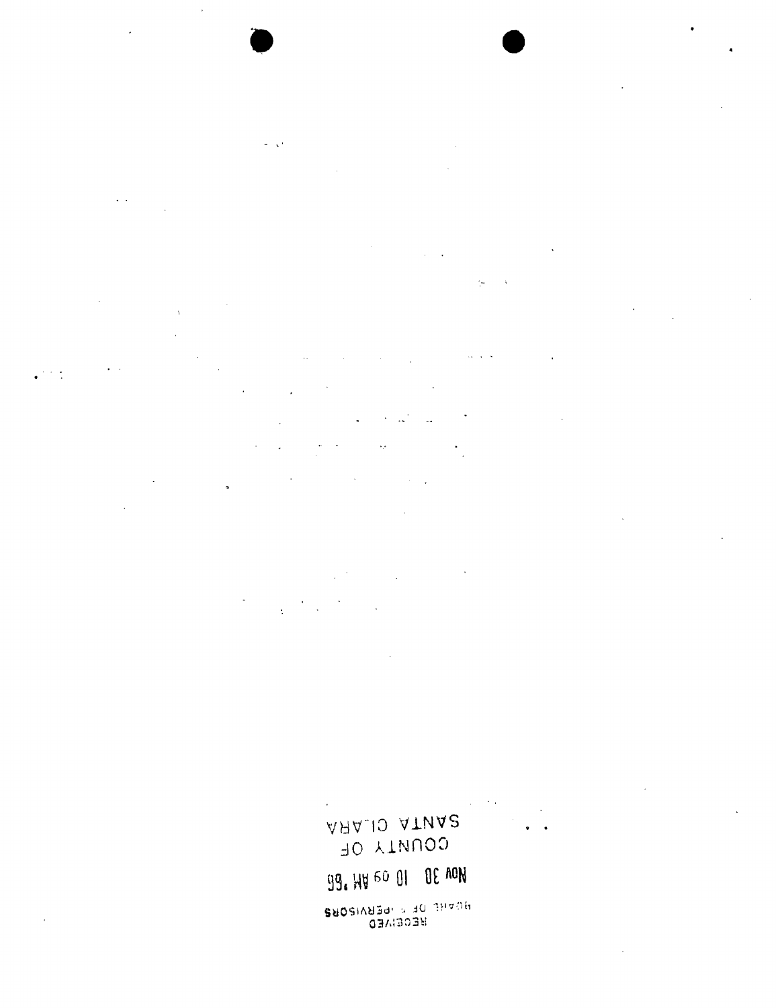99. HU 60 01 OE AON BROSIVED - PERVISORS

AAA.IO ATUA2 JO AINNOS

 $\ddot{\phantom{a}}$  $\mathcal{L}$  $\ddot{\mathbf{r}}$ 

 $\sim$   $\sigma$ 

 $\mathcal{L}^{\pm}$  $\star_{\mathcal{F}}$  $\ddot{\phantom{a}}$ 

 $\gamma_{\rm eff}$ 

 $\sigma = \sqrt{2}$  $\sim$   $\sim$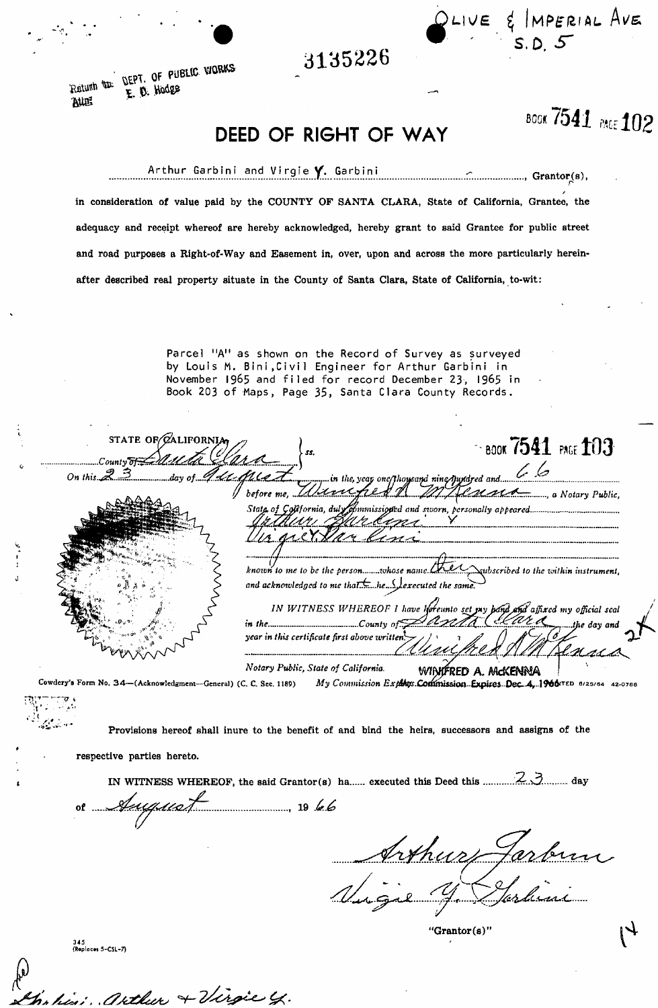**3135226** 

**DEPT.** OF PUBLIC WORKS Ratum **to**  $R$ W<sub>i</sub>

BOG\* **<sup>7541</sup>** *m 102* 

 $I$ UE  $\xi$  IMPERIAL AVE

 $\sim$  s.D.

**DEED OF RIGHT OF WAY** 

Arthur Garbini and Virgie Y. Garbini **in the community of Grantor(s)**  $\zeta_{\mathbf{p}}, \zeta_{\mathbf{p}}$ / **in consideration of value paid by the COUNTY OF SANTA CLARA, State of California, Grantee, the adequacy and receipt whereof are hereby acknowledged, hereby grant to said Grantee for public street and road purposes a Right-of-Way and Easement in, over, upon and across the more particularly hereinafter described real property situate in the County of Santa Clara, State of California, to-wit:** 

> Parcel "A" as shown on the Record of Survey as surveyed by Louis M. Bini, Civil Engineer for Arthur Garbini in **November 196 5 and file d fo r record December 23 , 196 5 in Book 20 3 o f Maps, Page 35 , Santa Clar a County Records.**

| STATE OF ZALIFORNIA                                               | $\simeq$ book $7541$ PAGE $103$<br>55.                                                                                               |
|-------------------------------------------------------------------|--------------------------------------------------------------------------------------------------------------------------------------|
| Countv<br>On this $23$                                            | day of $\mathscr{U}\mathscr{U}$ of $\mathscr{U}$                                                                                     |
|                                                                   | before me, Illiancefuld A M Henna und                                                                                                |
|                                                                   | garcan                                                                                                                               |
|                                                                   |                                                                                                                                      |
|                                                                   | known to me to be the personwhose name Check Subscribed to the within instrument,                                                    |
|                                                                   | and acknowledged to me that $\pm$ he $\Lambda$ executed the same.                                                                    |
|                                                                   | IN WITNESS WHEREOF I have hereunto set my band and affixed my official seal                                                          |
|                                                                   | in the intermal county of $\triangle$ and $\triangle$ if $\triangle$ in the day and<br>year in this certificate first above written. |
|                                                                   | Notary Public, State of California.<br>WINTERED A. MCKENNA                                                                           |
| Cowdery's Form No. 34-(Acknowledgment--General) (C. C. Sec. 1189) | My Commission Explores. Commission. Expires. Dec. 4, 1966 TED 6/25/64 42-0786                                                        |

**Provisions hereof shall inure to the benefit of and bind the heirs, successors and assigns of the** 

**respective parties hereto.** 

**IN WITNESS WHEREOF, the said Grantor(s) ha executed this Deed this .'5r..v3. day** 

<u>Juguat (1974)</u>

arthur + Virgie y.

Irthur Ja

**'Grantor (s)'**   $\begin{cases}\n\mathbf{H} \mathbf{B} \mathbf{B} \mathbf{B} \mathbf{B} \mathbf{B} \mathbf{C} \mathbf{B} \mathbf{A} \mathbf{B} \mathbf{C} \mathbf{B} \mathbf{A} \mathbf{B} \mathbf{B} \mathbf{B} \mathbf{C} \mathbf{B} \mathbf{A} \mathbf{B} \mathbf{B} \mathbf{B} \mathbf{C} \mathbf{B} \mathbf{B} \mathbf{B} \mathbf{B} \mathbf{B} \mathbf{B} \mathbf{B} \mathbf{B} \mathbf{B} \mathbf{B} \mathbf{B} \mathbf{B} \mathbf{$ 

345<br>(Replaces 5-CSL-7)

 $\begin{align} \begin{pmatrix} 0 \\ 0 \end{pmatrix} \end{align}$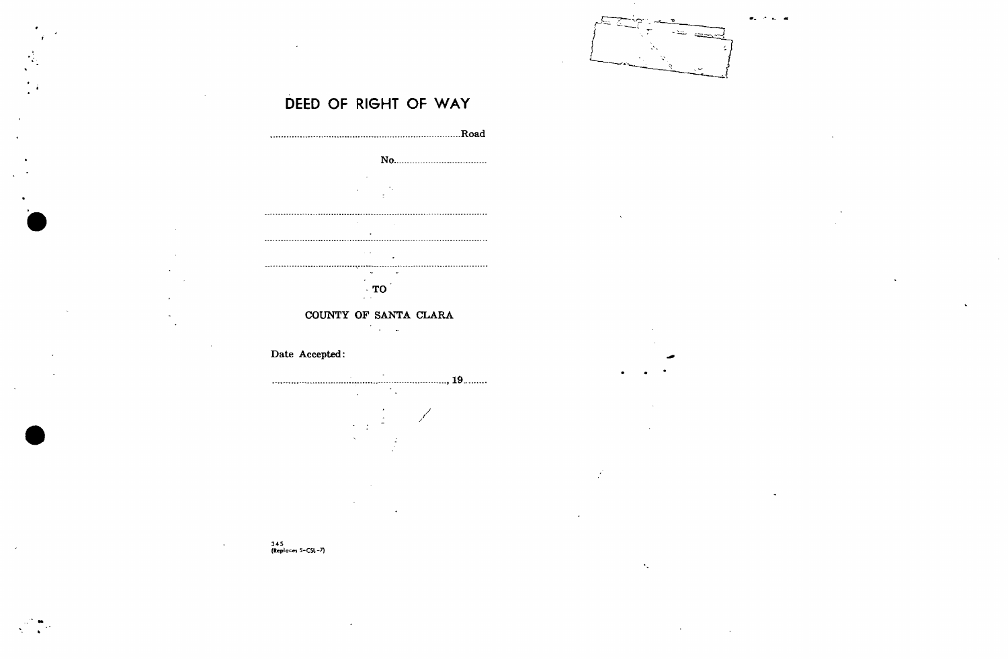

## **DEED OF RIGHT OF WAY**

 $\frac{1}{2}$ 



### 345 (Replaces 5-CSI-7)

 $\Delta$ 

 $\mathbf{r}$ 

 $\gamma_{\rm s}$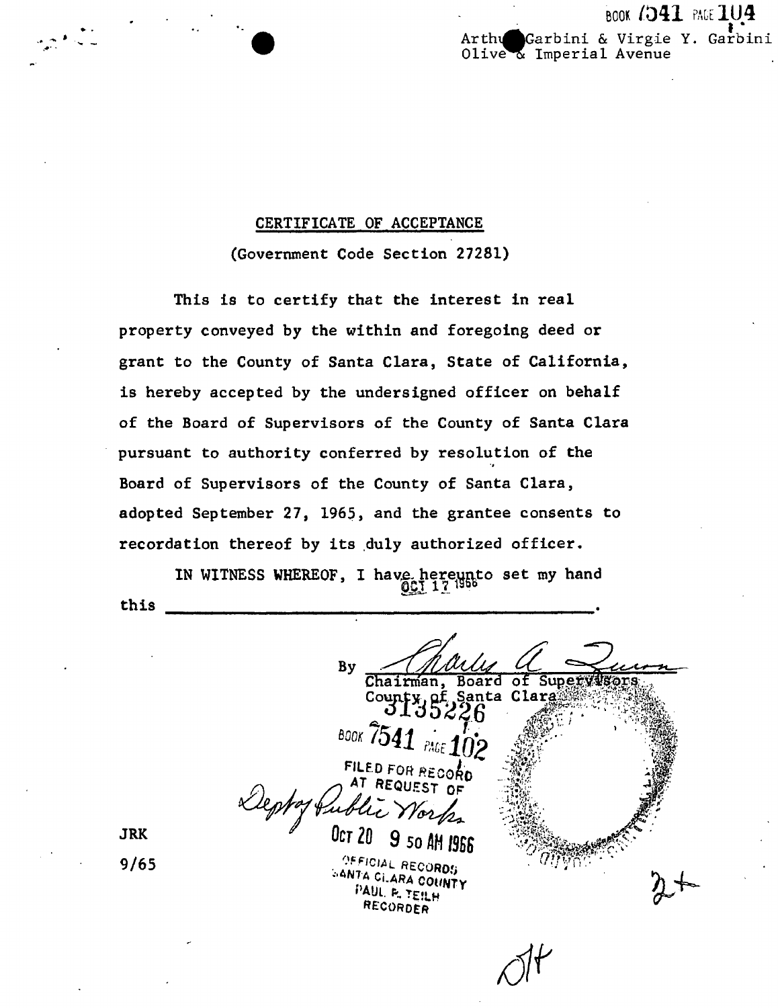#### **BOOK (341 PAGE 104** Garbini & Virgie Y. Garbini Arthu Olive & Imperial Avenue

### CERTIFICATE OF ACCEPTANCE

(Government Code Section 27281)

This is to certify that the interest in real property conveyed by the within and foregoing deed or grant to the County of Santa Clara, State of California, is hereby accepted by the undersigned officer on behalf of the Board of Supervisors of the County of Santa Clara pursuant to authority conferred by resolution of the Board of Supervisors of the County of Santa Clara, adopted September 27, 1965, and the grantee consents to recordation thereof by its duly authorized officer.

IN WITNESS WHEREOF, I have hereunto set my hand<br>001121999 this

**By** Chairman, Board оf Supervils of Santa Cla County **BOOK /54** FILED FOR RECORD AT REQUEST OF Lleptof tub Oct 20 9 50 AM 1966 OFFICIAL RECORDS **GANTA CILARA COUNTY** PAUL P. TEILH

RECORDER

**JRK** 

 $9/65$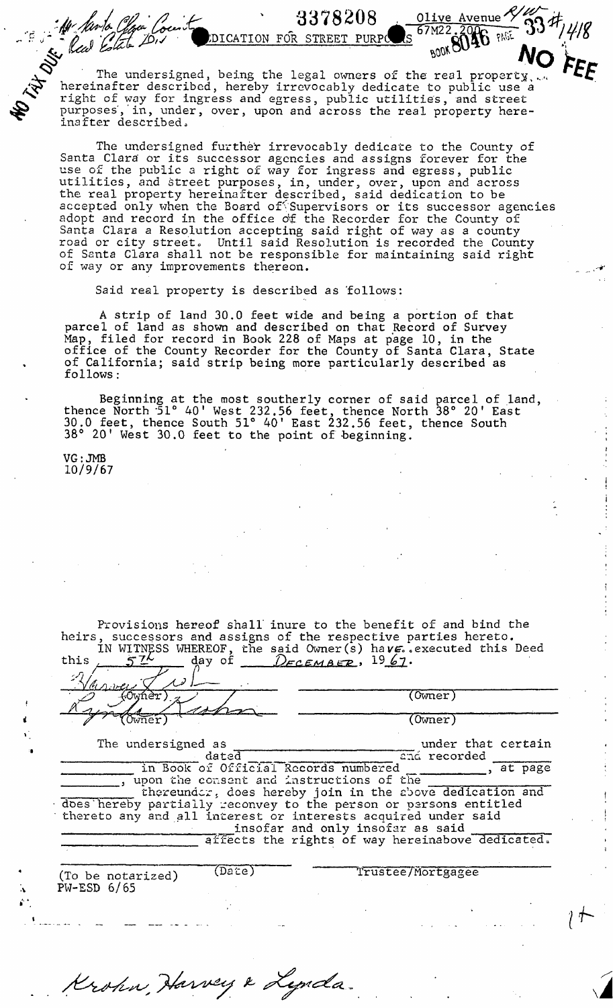$\sum$  The undersigned, being the legal owners of the real property,.,k hereinafter described, hereby irrevocably dedicate to public use a ^ right of way for ingress and egress, public utilities, and street purposes,'in, under, over, upon and across the real property hereinafter described.

 $LDICATION$  FOR STREET PURPC

 $3378208$  <u>. Olive Avenue</u>  $\frac{2}{9}$ 

 $PURPC$  S  $ORQQQ$ 

**4**

The undersigned further irrevocably dedicate to the County of Santa Clara or its successor agencies and assigns forever for the use of the public a right of way for ingress and egress, public utilities, and street purposes, in, under, over, upon and across the real property hereinafter described, said dedication to be accepted only when the Board of Supervisors or its successor agencies adopt and record in the office of the Recorder for the County of Santa Clara a Resolution accepting said right of way as a county road or city street. Until said Resolution is recorded the County of Santa Clara shall not be responsible for maintaining said right of way or any improvements thereon.

Said real property is described as follows:

A strip of land 30.0 feet wide and being a portion of that parcel of land as shown and described on that Record of Survey Map, filed for record in Book 228 of Maps at page 10, in the office of the County Recorder for the County of Santa Clara, State of California; said strip being more particularly described as follows:

Beginning at the most southerly corner of said parcel of land, thence North '51° 40' West 232.56 feet, thence North 38° 20' East 30.0 feet, thence South 51° 40<sup>1</sup> East 232.56 feet, thence South  $38^\circ$  20' West 30.0 feet to the point of beginning.

VG: JMB 10/9/67

: Ale Santa

| 57 <sup>L</sup><br>this                     | Provisions hereof shall inure to the benefit of and bind the<br>heirs, successors and assigns of the respective parties hereto.<br>IN WITNESS WHEREOF, the said Owner (s) have. executed this Deed<br>day of $D$ <i><b>ECEMBER</b></i> , $1967$ .                                                                                                                                        |
|---------------------------------------------|------------------------------------------------------------------------------------------------------------------------------------------------------------------------------------------------------------------------------------------------------------------------------------------------------------------------------------------------------------------------------------------|
| (Owner )                                    | $(0$ wner $)$                                                                                                                                                                                                                                                                                                                                                                            |
| m <del>n</del> er                           | (Owner)                                                                                                                                                                                                                                                                                                                                                                                  |
| The undersigned as<br>dated                 | under that certain<br>and recorded                                                                                                                                                                                                                                                                                                                                                       |
|                                             | in Book of Official Records numbered<br>, at page<br>, upon the consent and instructions of the<br>thereunder, does hereby join in the above dedication and<br>does hereby partially reconvey to the person or persons entitled<br>thereto any and all interest or interests acquired under said<br>insofar and only insofar as said<br>affects the rights of way hereinabove dedicated. |
| (Daite)<br>(To be notarized)<br>PW-ESD 6/65 | Trustee/Mortgagee                                                                                                                                                                                                                                                                                                                                                                        |
| Krohn, Harvey & Lynda.                      |                                                                                                                                                                                                                                                                                                                                                                                          |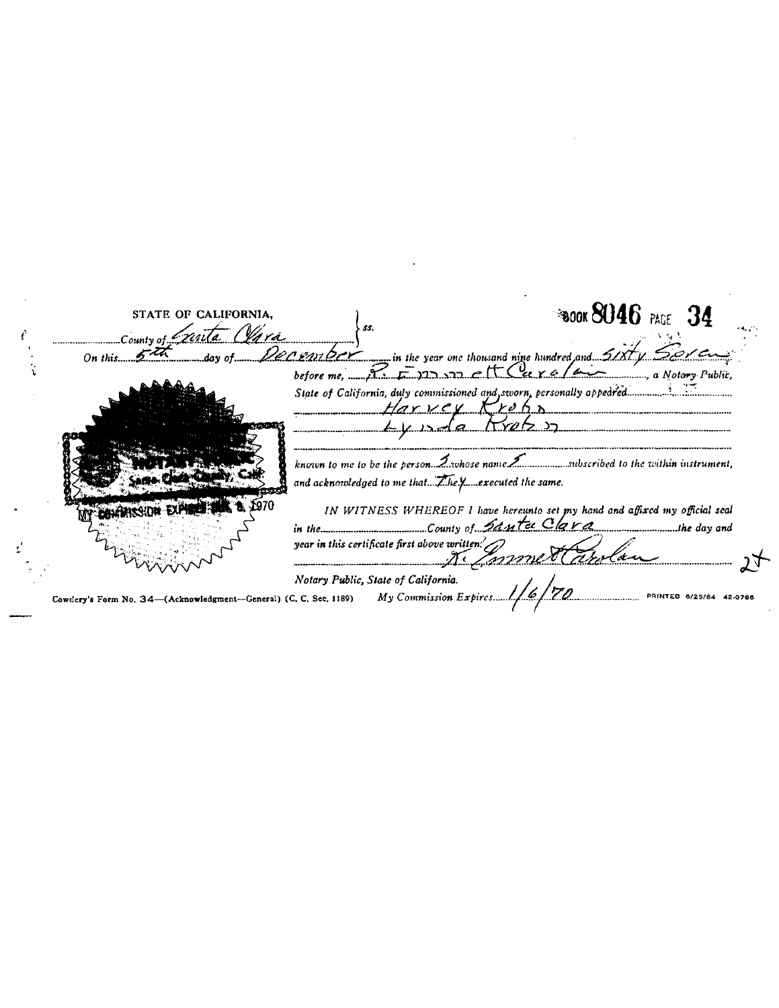| STATE OF CALIFORNIA.<br>Country of Exista Clara                   | <b>BOOK SU46</b> PAGE 34<br>- 55.                                                                                                                                                                                                                                                                                                                                                                                                                                                                                                                |  |
|-------------------------------------------------------------------|--------------------------------------------------------------------------------------------------------------------------------------------------------------------------------------------------------------------------------------------------------------------------------------------------------------------------------------------------------------------------------------------------------------------------------------------------------------------------------------------------------------------------------------------------|--|
| On this $5\sqrt{4}$                                               | day of Decentber __ in the year one thousand nine hundred and 51xty Sore<br>before me, $\mathcal{P}_{\mathcal{F}}$ $\mathcal{F}_{\mathcal{F}}$ $\mathcal{F}_{\mathcal{F}}$ $\mathcal{F}_{\mathcal{F}}$ $\mathcal{F}_{\mathcal{F}}$ $\mathcal{F}_{\mathcal{F}}$ $\mathcal{F}_{\mathcal{F}}$ $\mathcal{F}_{\mathcal{F}}$ $\mathcal{F}_{\mathcal{F}}$ $\mathcal{F}_{\mathcal{F}}$ $\mathcal{F}_{\mathcal{F}}$ $\mathcal{F}_{\mathcal{F}}$ $\mathcal{F}_{\mathcal{F}}$ $\mathcal{F}_{\mathcal{F}}$<br>Harvey Frehn<br><u>ITYUTZ 27.</u><br>$      -$ |  |
|                                                                   | known to me to be the person. $\mathcal{I}$ vhose name $\mathcal{I}$ manufactibed to the within instrument,<br>IN WITNESS WHEREOF I have hereunto set my hand and affixed my official seal                                                                                                                                                                                                                                                                                                                                                       |  |
|                                                                   | in the $\frac{1}{\sqrt{2}}$ county of Santa Clara<br>year in this certificate first above written:<br>certificate first above written: John Market Carelan                                                                                                                                                                                                                                                                                                                                                                                       |  |
| Cowdery's Form No. 34-(Acknowledgment--General) (C. C. Sec. 1189) | Notary Public, State of California.<br>$My$ Commission Expires. $1/6/70$                                                                                                                                                                                                                                                                                                                                                                                                                                                                         |  |

 $\label{eq:2.1} \mathcal{L}(\mathcal{L}^{\text{max}}_{\mathcal{L}}(\mathcal{L}^{\text{max}}_{\mathcal{L}}(\mathcal{L}^{\text{max}}_{\mathcal{L}}(\mathcal{L}^{\text{max}}_{\mathcal{L}^{\text{max}}_{\mathcal{L}}})))))$ 

 $\label{eq:2.1} \frac{1}{\sqrt{2}}\int_{\mathbb{R}^3}\frac{1}{\sqrt{2}}\left(\frac{1}{\sqrt{2}}\right)^2\frac{1}{\sqrt{2}}\left(\frac{1}{\sqrt{2}}\right)^2\frac{1}{\sqrt{2}}\left(\frac{1}{\sqrt{2}}\right)^2\frac{1}{\sqrt{2}}\left(\frac{1}{\sqrt{2}}\right)^2\frac{1}{\sqrt{2}}\left(\frac{1}{\sqrt{2}}\right)^2\frac{1}{\sqrt{2}}\frac{1}{\sqrt{2}}\frac{1}{\sqrt{2}}\frac{1}{\sqrt{2}}\frac{1}{\sqrt{2}}\frac{1}{\sqrt{2}}$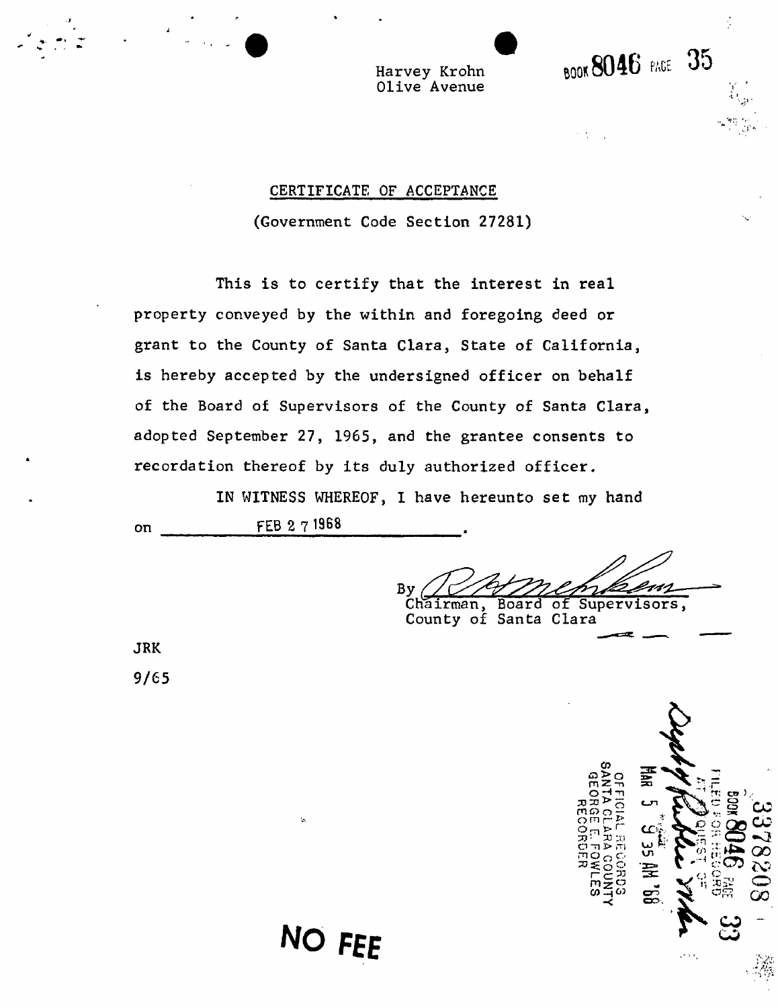Harvey Krohn Olive Avenue

### CERTIFICATE OF ACCEPTANCE

(Government Code Section 27281)

This is to certify that the interest in real property conveyed by the within and foregoing deed or grant to the County of Santa Clara, State of California, is hereby accepted by the undersigned officer on behalf of the Board of Supervisors of the County of Santa Clara, adopted September 27, 1965, and the grantee consents to recordation thereof by its duly authorized officer.

IN WITNESS WHEREOF, I have hereunto set my hand on FEB 2 7 19G8

**NO FEE** 

Bv Chairman, Board of Supervisors,

**book 8046 PAGE 35** 

 $\mathcal{F} = \{ \mathcal{F} \}$ 

County of Santa Clara

JRK 9/65

CD ഒ⊵്ഠ 품  $m \lesssim 1$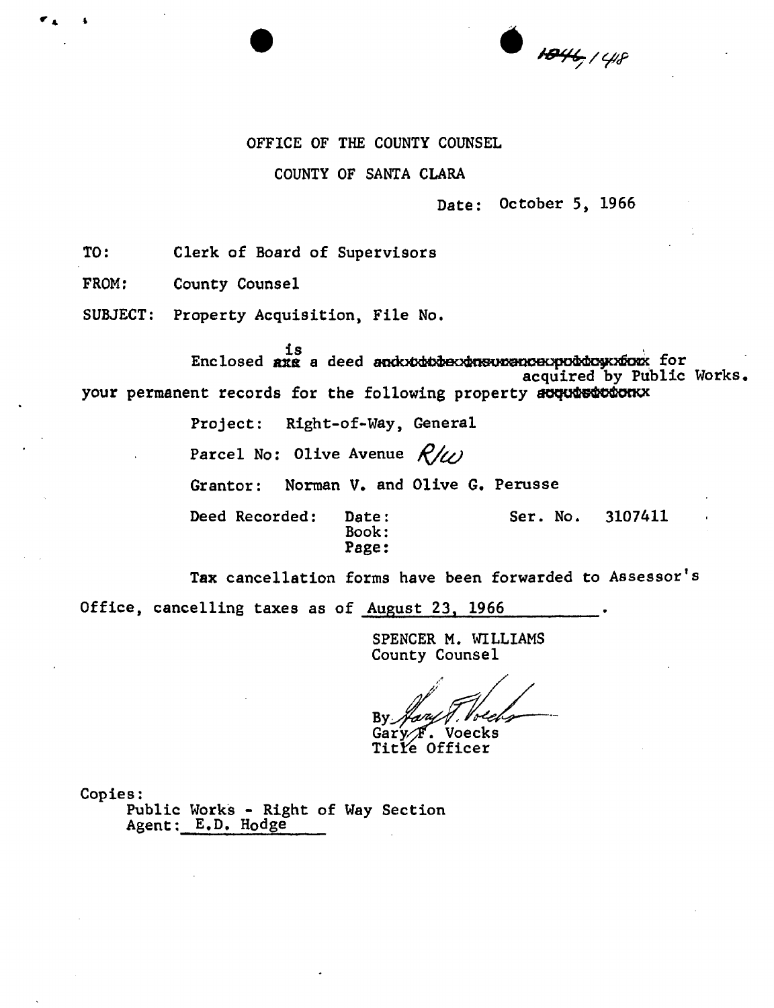$\bullet$   $1846/48$ 

#### OFFICE OF THE COUNTY COUNSEL

### COUNTY OF SANTA CLARA

### Date: October 5, 1966

TO: Clerk of Board of Supervisors

FROM: County Counsel

SUBJECT: Property Acquisition, File No.

is  $\verb|Enclosed|$  and  $\verb|recd|$  and  $\verb|advd{v}$  and  $\verb|devd{v}$  and  $\verb|devd{v}$ acquired by Public Works your permanent records for the following property acquistions

> Project: Right-of-Way, General Parcel No: Olive Avenue  $R/\nu$ Grantor: Norman V. and Olive G. Perusse Deed Recorded: Date: Ser. No. 3107411 Book: Page:

Tax cancellation forms have been forwarded to Assessor's

Office, cancelling taxes as of August 23, 1966

SPENCER M. WILLIAMS County Counsel

By  $\not$ Gar'y^F. Voecks

Title Officer

Copies:

Public Works - Right of Way Section Agent: E.D. Hodge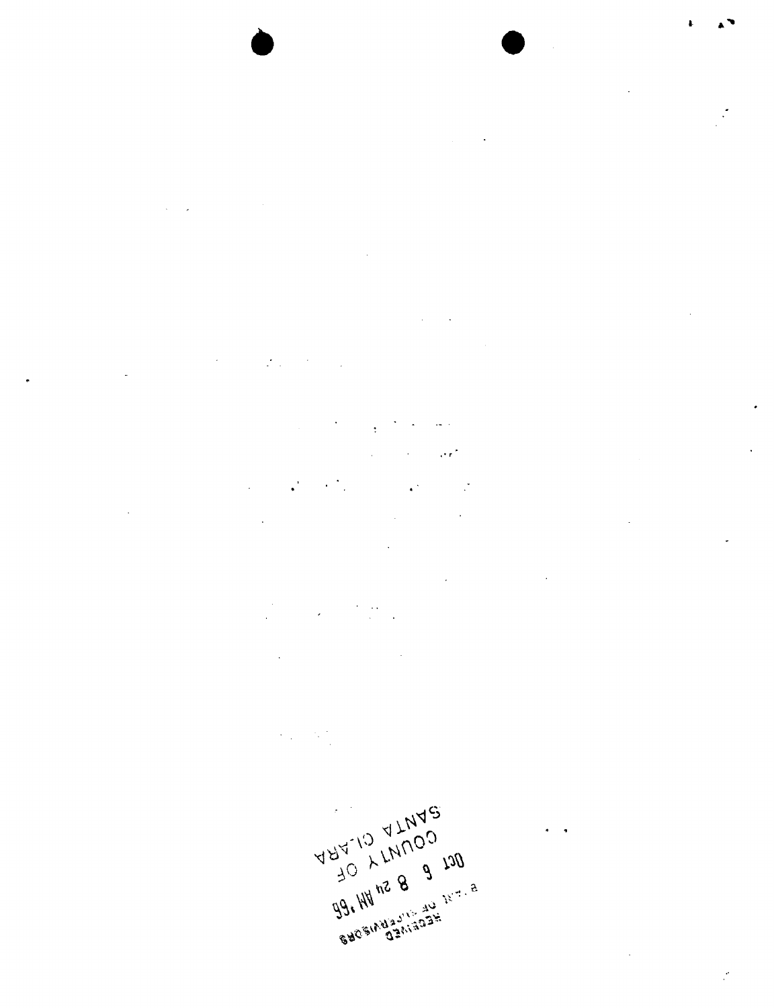

 $\label{eq:2} \frac{1}{2} \sum_{i=1}^n \frac{1}{2} \sum_{j=1}^n \frac{1}{2} \sum_{j=1}^n \frac{1}{2} \sum_{j=1}^n \frac{1}{2} \sum_{j=1}^n \frac{1}{2} \sum_{j=1}^n \frac{1}{2} \sum_{j=1}^n \frac{1}{2} \sum_{j=1}^n \frac{1}{2} \sum_{j=1}^n \frac{1}{2} \sum_{j=1}^n \frac{1}{2} \sum_{j=1}^n \frac{1}{2} \sum_{j=1}^n \frac{1}{2} \sum_{j=1}^n \frac{1}{$ 

 $\mathcal{L}^{\mathcal{L}}(\mathcal{L}^{\mathcal{L}})$  and  $\mathcal{L}^{\mathcal{L}}(\mathcal{L}^{\mathcal{L}})$  .  $\sim$  $\label{eq:2.1} \frac{1}{\sqrt{2}}\int_{\mathbb{R}^3}\frac{1}{\sqrt{2}}\left(\frac{1}{\sqrt{2}}\right)^2\left(\frac{1}{\sqrt{2}}\right)^2\left(\frac{1}{\sqrt{2}}\right)^2\left(\frac{1}{\sqrt{2}}\right)^2\left(\frac{1}{\sqrt{2}}\right)^2\left(\frac{1}{\sqrt{2}}\right)^2.$  $\sim 10^7$ 

 $\mathcal{L}^{\mathcal{L}}$  , and the set of the set of the set of the set of the set of the set of the set of the set of the set of the set of the set of the set of the set of the set of the set of the set of the set of the set of t  $\bar{\mathcal{A}}$  $\mathcal{L}^{\mathcal{L}}(\mathcal{L}^{\mathcal{L}})$  and  $\mathcal{L}^{\mathcal{L}}(\mathcal{L}^{\mathcal{L}})$  are the set of the set of  $\mathcal{L}^{\mathcal{L}}$  $\mathcal{L}^{\text{max}}_{\text{max}}$  , where  $\mathcal{L}^{\text{max}}_{\text{max}}$ 

 $\label{eq:2.1} \mathcal{L}_{\mathcal{A}}(\mathcal{A})=\mathcal{L}_{\mathcal{A}}(\mathcal{A})=\frac{1}{2}\mathcal{L}_{\mathcal{A}}(\mathcal{A})\mathcal{L}_{\mathcal{A}}(\mathcal{A})\mathcal{A}.$  $\mathcal{L}_{\text{max}}$  and  $\mathcal{L}_{\text{max}}$  and  $\mathcal{L}_{\text{max}}$ 

 $\sim 10^7$  $\sim 100$  km  $^{-1}$  $\label{eq:2.1} \frac{d\mathbf{y}}{dt} = \frac{d\mathbf{y}}{dt} + \frac{d\mathbf{y}}{dt} + \frac{d\mathbf{y}}{dt} + \frac{d\mathbf{y}}{dt} + \frac{d\mathbf{y}}{dt} + \frac{d\mathbf{y}}{dt} + \frac{d\mathbf{y}}{dt} + \frac{d\mathbf{y}}{dt} + \frac{d\mathbf{y}}{dt} + \frac{d\mathbf{y}}{dt} + \frac{d\mathbf{y}}{dt} + \frac{d\mathbf{y}}{dt} + \frac{d\mathbf{y}}{dt} + \frac{d\mathbf{y}}{dt} + \$  $\overline{\phantom{a}}$ 

 $\sim 10^7$ 

 $\hat{A}^{\dagger}$  and  $\hat{A}$ 

 $\bar{\mathcal{A}}$ 

 $\frac{1}{\sqrt{2}}$ 

 $\mathcal{C}$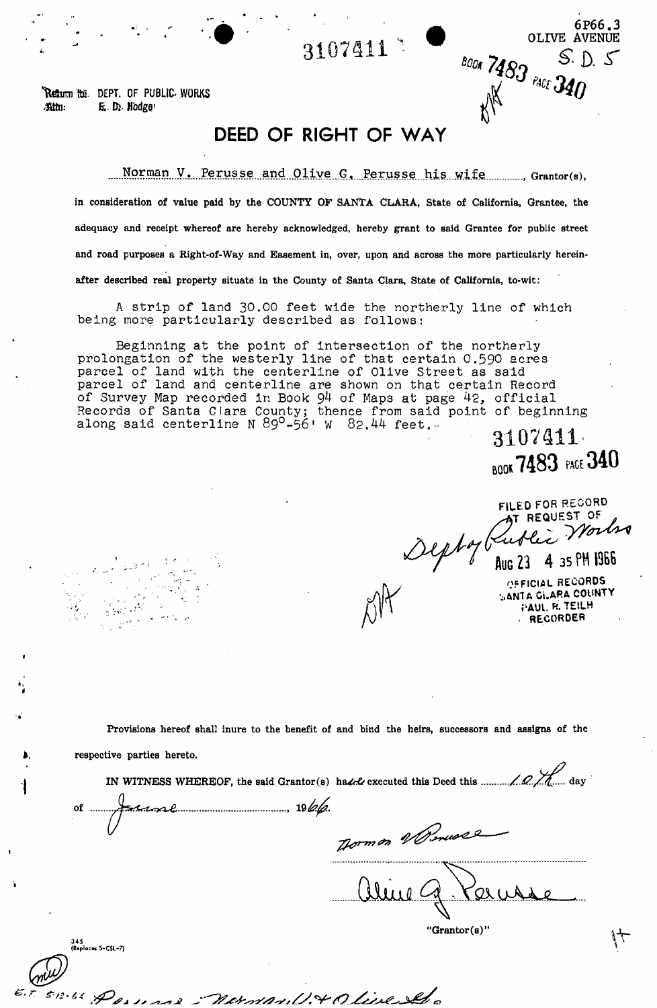**3107411** 

Retturn for DEPT. OF PUBLIC WORKS *mi:* E D). Hodge'

# **DEED OF RIGHT OF WAY**

Norman V. Perusse and Olive G. Perusse his wife Grantor(s),

**in consideration of value paid by the COUNTY OF SANTA CLARA, State of California, Grantee, the adequacy and receipt whereof are hereby acknowledged, hereby grant to said Grantee for public street and road purposes a Right-of-Way and Easement in, over, upon and across the more particularly hereinafter described real property situate in the County of Santa Clara, State of California, to-wit:** 

A strip of land 30.00 feet wide the northerly line of which being more particularly described as follows:

Beginning at the point of Intersection of the northerly prolongation of the westerly line of that certain 0.590 acres parcel of land with the centerline of Olive Street as said parcel of land and centerline are shown on that certain Record of Survey Map recorded in Book  $94$  of Maps at page  $42$ , official Records of Santa Clara County; thence from said point of beginning along said centerline N  $89^{\circ}$ -56 $^{\circ}$  W  $82.44$  feet.  $^{\circ}$ 

**3107411'**  BOO\* **7483 PAGE 340** 

6P66.3

OLIVE AVENUE<br>BOOK 7483 PACE 340

**FILE D FOR RECOR D --AT REQUES T OF** 

AUG 23 4 35 PM 1966

N J OFFICIAL RECORDS  $\mathcal{A}$   $\mathcal{A}$  anta Gi.ARA COUNTY  $\bigcap_{i=1}^n A_i$ PAUL R. TEILH

**Provisions hereof shall inure to the benefit of and bind the heirs, successors and assigns of the** 

**respective parties hereto.** 

345

.<br>Iaces 5-CSL-7)

**IN WITNESS WHEREOF, the said Grantor(s) ha^-fr executed this Deed this day**   $\sim$ form on Werness

16. Perusal - norman U. + Olive Sel

r Qs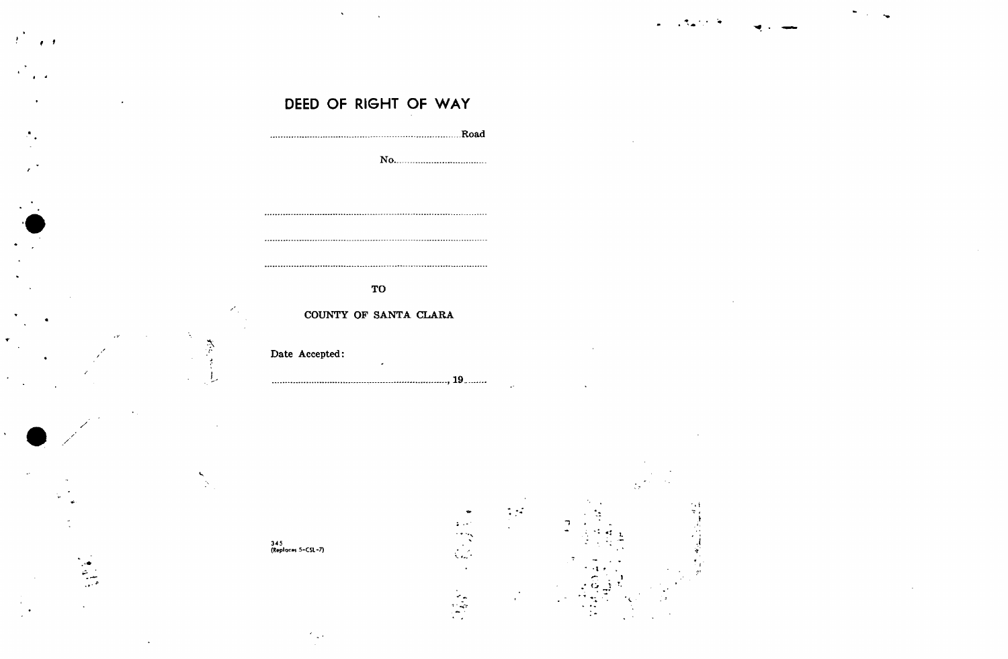|  | $\mathcal{L} = \mathcal{L} \mathcal{L} \mathcal{L} \mathcal{L} \mathcal{L} \mathcal{L} = \mathcal{L} \mathcal{L} \mathcal{L} \mathcal{L} \mathcal{L} \mathcal{L} \mathcal{L}$ |  |  |
|--|-------------------------------------------------------------------------------------------------------------------------------------------------------------------------------|--|--|
|  |                                                                                                                                                                               |  |  |
|  |                                                                                                                                                                               |  |  |

|  | DEED OF RIGHT OF WAY |  |  |
|--|----------------------|--|--|
|  |                      |  |  |

 $\mathcal{F}^{\mathcal{F}}$ 

 $\epsilon$ 

| TO                    |  |
|-----------------------|--|
| COUNTY OF SANTA CLARA |  |
| Date Accepted:        |  |
|                       |  |

345<br>(Replaces 5-CSL-7)

 $\mathbf{v}^{\prime}$ 

 $\mathcal{E}_1$ 

Ń,

参与

 $\sum_{i=1}^{n}$ 



















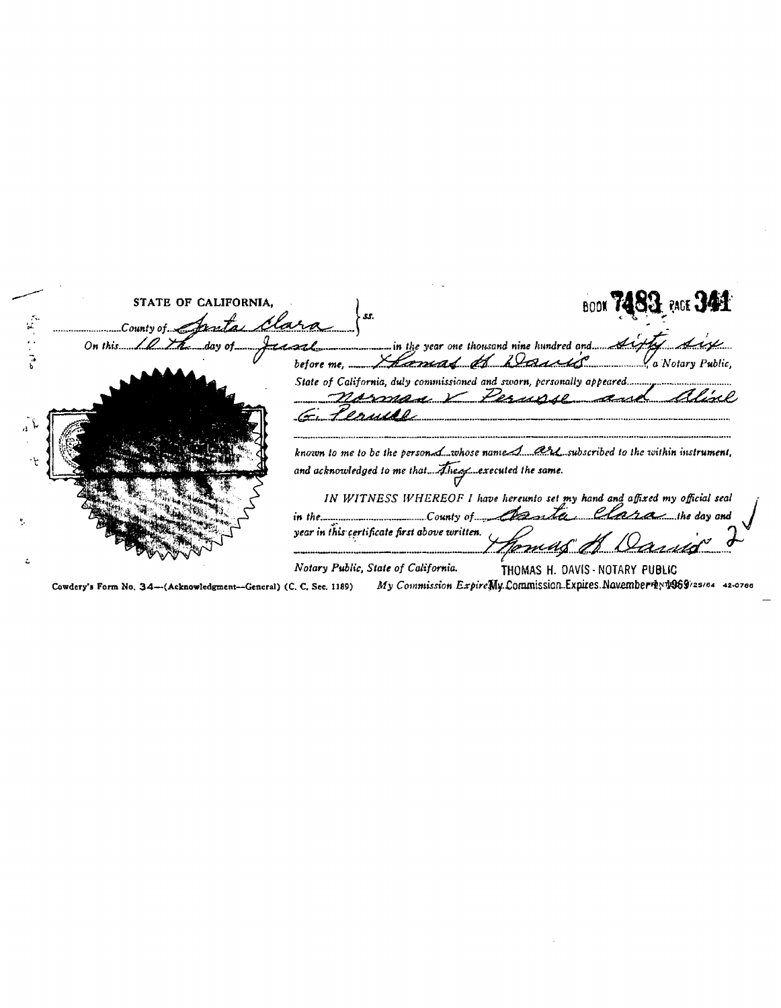| STATE OF CALIFORNIA.   | <b>BOOK 7483</b> RACE 341                                                                                                                      |
|------------------------|------------------------------------------------------------------------------------------------------------------------------------------------|
| Country of Janta Clara | On this 10 the day of the continues in the year one thousand nine hundred and the fight                                                        |
|                        | before me. Home of Baulice Service                                                                                                             |
|                        | norman Verusse and                                                                                                                             |
|                        |                                                                                                                                                |
|                        | known to me to be the person. L.whose name A ash subscribed to the within instrument,<br>and acknowledged to me that. Alrea cxecuted the same. |
|                        | IN WITNESS WHEREOF I have hereunto set my hand and affixed my official seal                                                                    |
|                        | in the manusculture of Country of Charles Claram the day and<br>year in this certificate first above written.                                  |
|                        | Notary Public, State of California.<br>THOMAS H. DAVIS - NOTARY PUBLIC                                                                         |

Cowdery's Form No. 34--(Acknowledgment--General) (C. C. Sec. 1189)

My Commission ExpireMy Commission Expires Navember 4: 4289/25/64 42-0766

 $\bar{z}$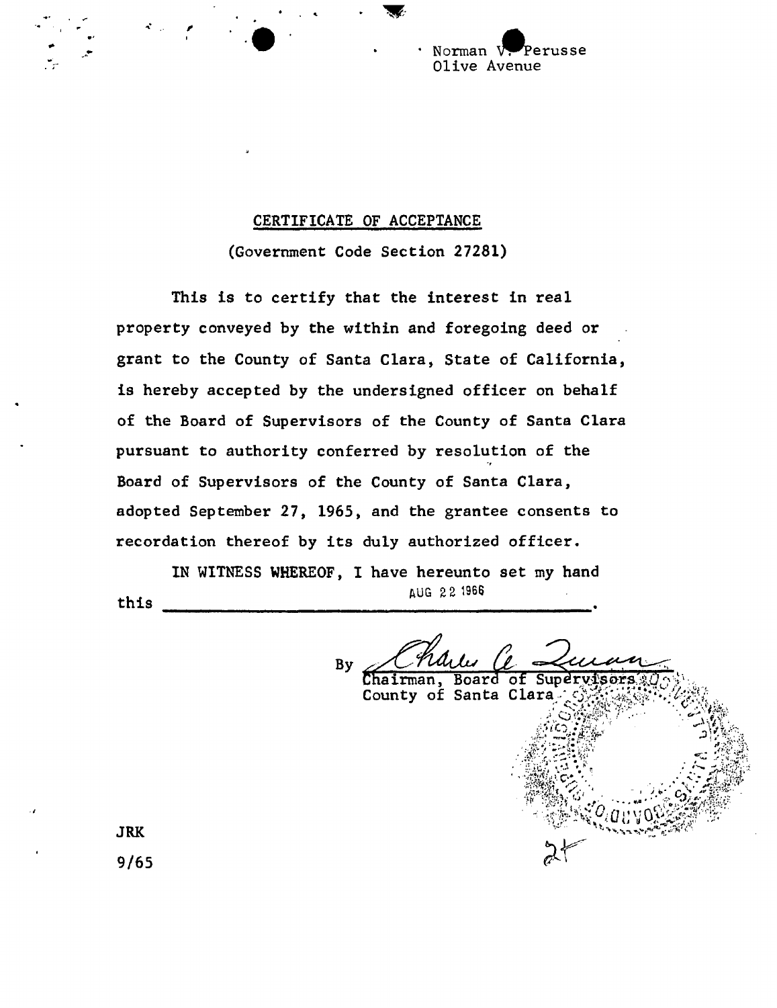Norman V. Perusse Olive Avenue

### CERTIFICATE OF ACCEPTANCE

(Government Code Section 27281)

This is to certify that the interest in real property conveyed by the within and foregoing deed or grant to the County of Santa Clara, State of California, is hereby accepted by the undersigned officer on behalf of the Board of Supervisors of the County of Santa Clara pursuant to authority conferred by resolution of the Board of Supervisors of the County of Santa Clara, adopted September 27, 1965, and the grantee consents to recordation thereof by its duly authorized officer,

IN WITNESS WHEREOF, I have hereunto set my hand this AUG 22 1966

By Board of Superys *i* 

County of Santa

JRK

9/65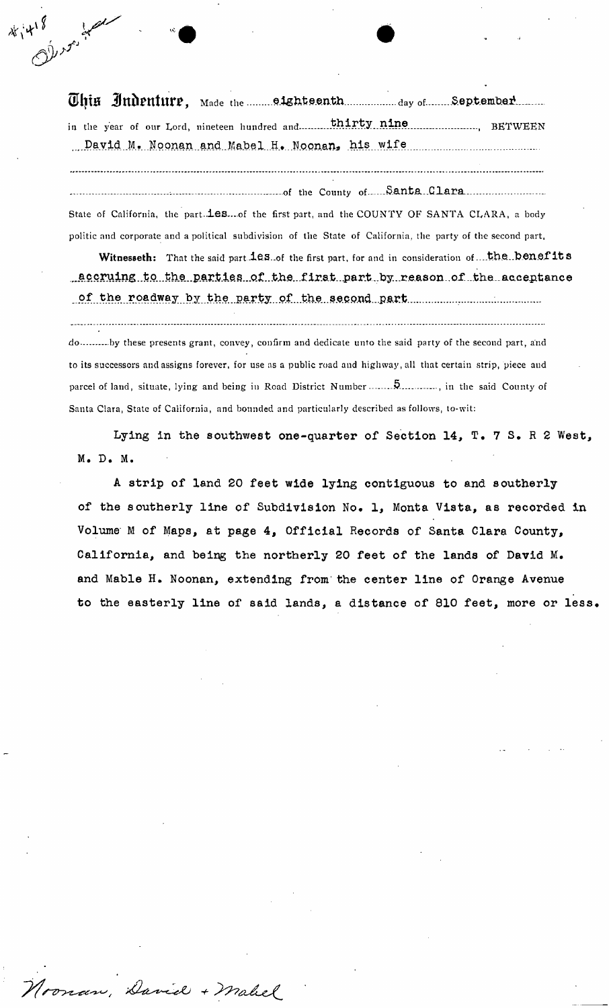This Judenture, Made the mannetship denth day of September. in the year of our Lord, nineteen hundred and— BETWEE N ....David..M.. Nopnan..aM..Mabel...Hf.. Nponan^ his...wife

*r* - • •

\* i<sup>418</sup>

- of the County of.. S.antj5i..Clara. State of California, the part.<sup>1</sup>es....of the first part, and the COUNTY OF SANTA CLARA, a body politic and corporate and a political subdivision of the State of California, the party of the second part,

Witnesseth: That the said part.<sup>1es.</sup>.of the first part, for and in consideration of... the.. benefits \_accruing to the parties of the first part by reason of the acceptance of the roadway by the party of the second part manuscription of the roadway by the party of the second part

do .........by these presents grant, convey, confirm and dedicate unto the said party of the second part, and to its successors auclassigns forever, for use as a public road and highway, all that certain strip, piece and parcel of land, situate, lying and being in Road District Number ......................, in the said County of Santa Clara, State of California, and bounded and particularly described as follows, to-wit:

Lying in the southwest one-quarter of Section 14, T. 7 S. R 2 West, M. D. M.

A strip of land 20 feet wide lying contiguous to and southerly of the southerly line of Subdivision No. 1, Monta Vista, as recorded in Volume M of Maps, at page 4, Official Records of Santa Clara County, California, and being the northerly 20 feet of the lands of David M. and Mable H. Noonan, extending from-the center line of Orange Avenue to the easterly line of said lands, a distance of 810 feet, more or less.

Toonan, David + Mahel